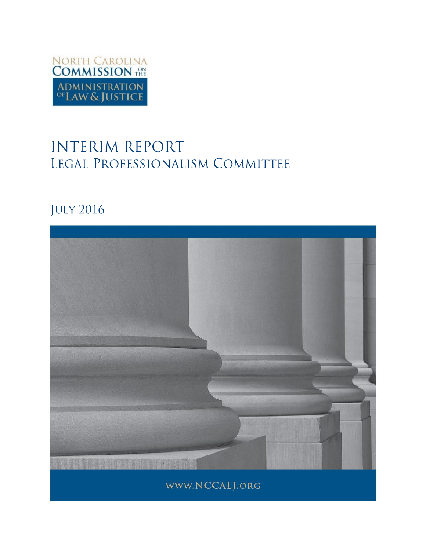

# **INTERIM REPORT** LEGAL PROFESSIONALISM COMMITTEE

# **JULY 2016**

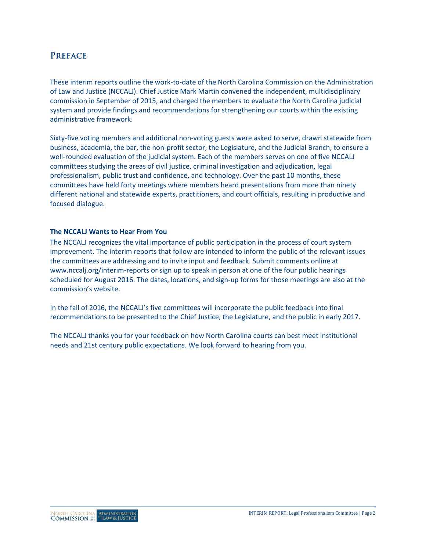# **PREFACE**

These interim reports outline the work-to-date of the North Carolina Commission on the Administration of Law and Justice (NCCALJ). Chief Justice Mark Martin convened the independent, multidisciplinary commission in September of 2015, and charged the members to evaluate the North Carolina judicial system and provide findings and recommendations for strengthening our courts within the existing administrative framework.

Sixty-five voting members and additional non-voting guests were asked to serve, drawn statewide from business, academia, the bar, the non-profit sector, the Legislature, and the Judicial Branch, to ensure a well-rounded evaluation of the judicial system. Each of the members serves on one of five NCCALJ committees studying the areas of civil justice, criminal investigation and adjudication, legal professionalism, public trust and confidence, and technology. Over the past 10 months, these committees have held forty meetings where members heard presentations from more than ninety different national and statewide experts, practitioners, and court officials, resulting in productive and focused dialogue.

#### **The NCCALJ Wants to Hear From You**

The NCCALJ recognizes the vital importance of public participation in the process of court system improvement. The interim reports that follow are intended to inform the public of the relevant issues the committees are addressing and to invite input and feedback. Submit comments online at [www.nccalj.org/interim-reports](file://wfs01.aoc.nccourts.org/Network_Folders/UNIT_Communications/Courts/Session%20Comms/Commission%20on%20the%20Administration%20of%20Law%20and%20Justice/Reports/www.nccalj.org/interim-reports) or sign up to speak in person at one of the four public hearings scheduled for August 2016. The dates, locations, and sign-up forms for those meetings are also at the commission's website.

In the fall of 2016, the NCCALJ's five committees will incorporate the public feedback into final recommendations to be presented to the Chief Justice, the Legislature, and the public in early 2017.

The NCCALJ thanks you for your feedback on how North Carolina courts can best meet institutional needs and 21st century public expectations. We look forward to hearing from you.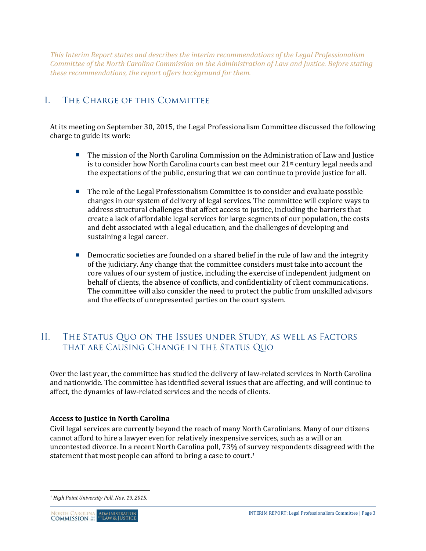*This Interim Report states and describes the interim recommendations of the Legal Professionalism Committee of the North Carolina Commission on the Administration of Law and Justice. Before stating these recommendations, the report offers background for them.*

#### $\mathbf{L}$ THE CHARGE OF THIS COMMITTEE

At its meeting on September 30, 2015, the Legal Professionalism Committee discussed the following charge to guide its work:

- **The mission of the North Carolina Commission on the Administration of Law and Justice** is to consider how North Carolina courts can best meet our  $21<sup>st</sup>$  century legal needs and the expectations of the public, ensuring that we can continue to provide justice for all.
- The role of the Legal Professionalism Committee is to consider and evaluate possible changes in our system of delivery of legal services. The committee will explore ways to address structural challenges that affect access to justice, including the barriers that create a lack of affordable legal services for large segments of our population, the costs and debt associated with a legal education, and the challenges of developing and sustaining a legal career.
- **Democratic societies are founded on a shared belief in the rule of law and the integrity** of the judiciary. Any change that the committee considers must take into account the core values of our system of justice, including the exercise of independent judgment on behalf of clients, the absence of conflicts, and confidentiality of client communications. The committee will also consider the need to protect the public from unskilled advisors and the effects of unrepresented parties on the court system.

#### $\prod$ . THE STATUS QUO ON THE ISSUES UNDER STUDY, AS WELL AS FACTORS THAT ARE CAUSING CHANGE IN THE STATUS QUO

Over the last year, the committee has studied the delivery of law-related services in North Carolina and nationwide. The committee has identified several issues that are affecting, and will continue to affect, the dynamics of law-related services and the needs of clients.

# **Access to Justice in North Carolina**

Civil legal services are currently beyond the reach of many North Carolinians. Many of our citizens cannot afford to hire a lawyer even for relatively inexpensive services, such as a will or an uncontested divorce. In a recent North Carolina poll, 73% of survey respondents disagreed with the statement that most people can afford to bring a case to court.*<sup>1</sup>*

 $\overline{a}$ 

*<sup>1</sup> High Point University Poll, Nov. 19, 2015.*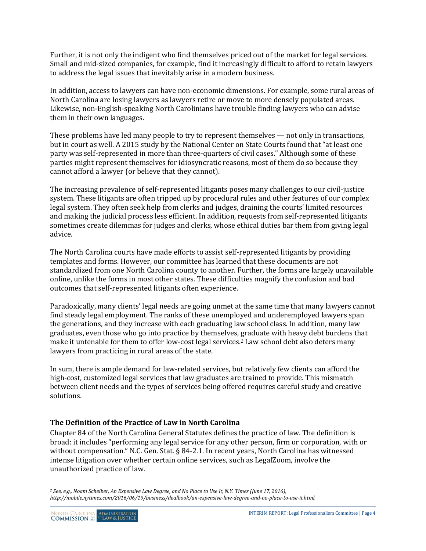Further, it is not only the indigent who find themselves priced out of the market for legal services. Small and mid-sized companies, for example, find it increasingly difficult to afford to retain lawyers to address the legal issues that inevitably arise in a modern business.

In addition, access to lawyers can have non-economic dimensions. For example, some rural areas of North Carolina are losing lawyers as lawyers retire or move to more densely populated areas. Likewise, non-English-speaking North Carolinians have trouble finding lawyers who can advise them in their own languages.

These problems have led many people to try to represent themselves — not only in transactions, but in court as well. A 2015 study by the National Center on State Courts found that "at least one party was self-represented in more than three-quarters of civil cases." Although some of these parties might represent themselves for idiosyncratic reasons, most of them do so because they cannot afford a lawyer (or believe that they cannot).

The increasing prevalence of self-represented litigants poses many challenges to our civil-justice system. These litigants are often tripped up by procedural rules and other features of our complex legal system. They often seek help from clerks and judges, draining the courts' limited resources and making the judicial process less efficient. In addition, requests from self-represented litigants sometimes create dilemmas for judges and clerks, whose ethical duties bar them from giving legal advice.

The North Carolina courts have made efforts to assist self-represented litigants by providing templates and forms. However, our committee has learned that these documents are not standardized from one North Carolina county to another. Further, the forms are largely unavailable online, unlike the forms in most other states. These difficulties magnify the confusion and bad outcomes that self-represented litigants often experience.

Paradoxically, many clients' legal needs are going unmet at the same time that many lawyers cannot find steady legal employment. The ranks of these unemployed and underemployed lawyers span the generations, and they increase with each graduating law school class. In addition, many law graduates, even those who go into practice by themselves, graduate with heavy debt burdens that make it untenable for them to offer low-cost legal services.*<sup>2</sup>* Law school debt also deters many lawyers from practicing in rural areas of the state.

In sum, there is ample demand for law-related services, but relatively few clients can afford the high-cost, customized legal services that law graduates are trained to provide. This mismatch between client needs and the types of services being offered requires careful study and creative solutions.

# **The Definition of the Practice of Law in North Carolina**

Chapter 84 of the North Carolina General Statutes defines the practice of law. The definition is broad: it includes "performing any legal service for any other person, firm or corporation, with or without compensation." N.C. Gen. Stat. § 84-2.1. In recent years, North Carolina has witnessed intense litigation over whether certain online services, such as LegalZoom, involve the unauthorized practice of law.

 $\overline{a}$ 

*<sup>2</sup> See, e.g., Noam Scheiber, An Expensive Law Degree, and No Place to Use It, N.Y. Times (June 17, 2016), http://mobile.nytimes.com/2016/06/19/business/dealbook/an-expensive-law-degree-and-no-place-to-use-it.html.*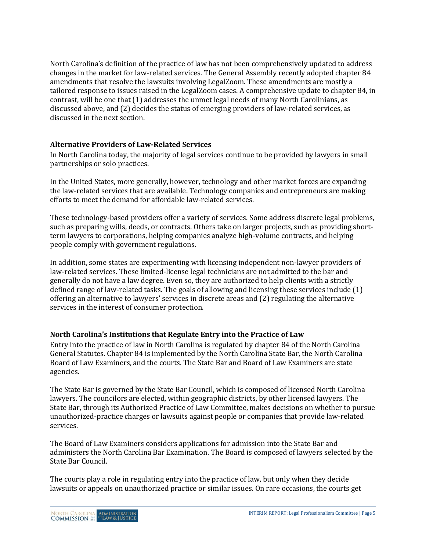North Carolina's definition of the practice of law has not been comprehensively updated to address changes in the market for law-related services. The General Assembly recently adopted chapter 84 amendments that resolve the lawsuits involving LegalZoom. These amendments are mostly a tailored response to issues raised in the LegalZoom cases. A comprehensive update to chapter 84, in contrast, will be one that (1) addresses the unmet legal needs of many North Carolinians, as discussed above, and (2) decides the status of emerging providers of law-related services, as discussed in the next section.

# **Alternative Providers of Law-Related Services**

In North Carolina today, the majority of legal services continue to be provided by lawyers in small partnerships or solo practices.

In the United States, more generally, however, technology and other market forces are expanding the law-related services that are available. Technology companies and entrepreneurs are making efforts to meet the demand for affordable law-related services.

These technology-based providers offer a variety of services. Some address discrete legal problems, such as preparing wills, deeds, or contracts. Others take on larger projects, such as providing shortterm lawyers to corporations, helping companies analyze high-volume contracts, and helping people comply with government regulations.

In addition, some states are experimenting with licensing independent non-lawyer providers of law-related services. These limited-license legal technicians are not admitted to the bar and generally do not have a law degree. Even so, they are authorized to help clients with a strictly defined range of law-related tasks. The goals of allowing and licensing these services include (1) offering an alternative to lawyers' services in discrete areas and (2) regulating the alternative services in the interest of consumer protection.

# **North Carolina's Institutions that Regulate Entry into the Practice of Law**

Entry into the practice of law in North Carolina is regulated by chapter 84 of the North Carolina General Statutes. Chapter 84 is implemented by the North Carolina State Bar, the North Carolina Board of Law Examiners, and the courts. The State Bar and Board of Law Examiners are state agencies.

The State Bar is governed by the State Bar Council, which is composed of licensed North Carolina lawyers. The councilors are elected, within geographic districts, by other licensed lawyers. The State Bar, through its Authorized Practice of Law Committee, makes decisions on whether to pursue unauthorized-practice charges or lawsuits against people or companies that provide law-related services.

The Board of Law Examiners considers applications for admission into the State Bar and administers the North Carolina Bar Examination. The Board is composed of lawyers selected by the State Bar Council.

The courts play a role in regulating entry into the practice of law, but only when they decide lawsuits or appeals on unauthorized practice or similar issues. On rare occasions, the courts get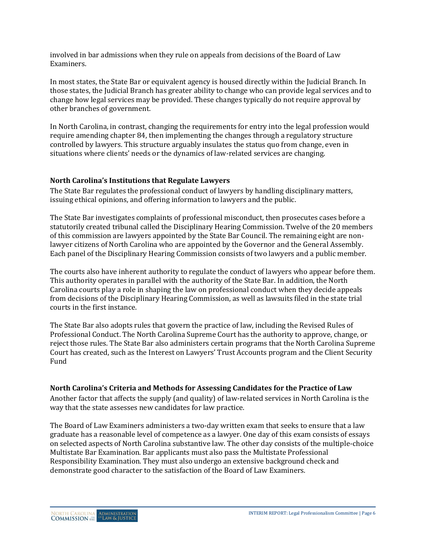involved in bar admissions when they rule on appeals from decisions of the Board of Law Examiners.

In most states, the State Bar or equivalent agency is housed directly within the Judicial Branch. In those states, the Judicial Branch has greater ability to change who can provide legal services and to change how legal services may be provided. These changes typically do not require approval by other branches of government.

In North Carolina, in contrast, changing the requirements for entry into the legal profession would require amending chapter 84, then implementing the changes through a regulatory structure controlled by lawyers. This structure arguably insulates the status quo from change, even in situations where clients' needs or the dynamics of law-related services are changing.

# **North Carolina's Institutions that Regulate Lawyers**

The State Bar regulates the professional conduct of lawyers by handling disciplinary matters, issuing ethical opinions, and offering information to lawyers and the public.

The State Bar investigates complaints of professional misconduct, then prosecutes cases before a statutorily created tribunal called the Disciplinary Hearing Commission. Twelve of the 20 members of this commission are lawyers appointed by the State Bar Council. The remaining eight are nonlawyer citizens of North Carolina who are appointed by the Governor and the General Assembly. Each panel of the Disciplinary Hearing Commission consists of two lawyers and a public member.

The courts also have inherent authority to regulate the conduct of lawyers who appear before them. This authority operates in parallel with the authority of the State Bar. In addition, the North Carolina courts play a role in shaping the law on professional conduct when they decide appeals from decisions of the Disciplinary Hearing Commission, as well as lawsuits filed in the state trial courts in the first instance.

The State Bar also adopts rules that govern the practice of law, including the Revised Rules of Professional Conduct. The North Carolina Supreme Court has the authority to approve, change, or reject those rules. The State Bar also administers certain programs that the North Carolina Supreme Court has created, such as the Interest on Lawyers' Trust Accounts program and the Client Security Fund

# **North Carolina's Criteria and Methods for Assessing Candidates for the Practice of Law**

Another factor that affects the supply (and quality) of law-related services in North Carolina is the way that the state assesses new candidates for law practice.

The Board of Law Examiners administers a two-day written exam that seeks to ensure that a law graduate has a reasonable level of competence as a lawyer. One day of this exam consists of essays on selected aspects of North Carolina substantive law. The other day consists of the multiple-choice Multistate Bar Examination. Bar applicants must also pass the Multistate Professional Responsibility Examination. They must also undergo an extensive background check and demonstrate good character to the satisfaction of the Board of Law Examiners.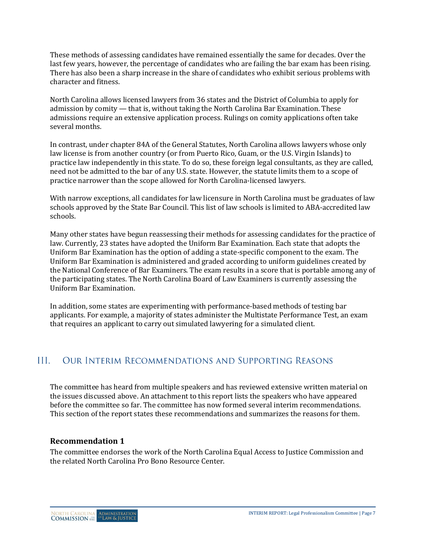These methods of assessing candidates have remained essentially the same for decades. Over the last few years, however, the percentage of candidates who are failing the bar exam has been rising. There has also been a sharp increase in the share of candidates who exhibit serious problems with character and fitness.

North Carolina allows licensed lawyers from 36 states and the District of Columbia to apply for admission by comity — that is, without taking the North Carolina Bar Examination. These admissions require an extensive application process. Rulings on comity applications often take several months.

In contrast, under chapter 84A of the General Statutes, North Carolina allows lawyers whose only law license is from another country (or from Puerto Rico, Guam, or the U.S. Virgin Islands) to practice law independently in this state. To do so, these foreign legal consultants, as they are called, need not be admitted to the bar of any U.S. state. However, the statute limits them to a scope of practice narrower than the scope allowed for North Carolina-licensed lawyers.

With narrow exceptions, all candidates for law licensure in North Carolina must be graduates of law schools approved by the State Bar Council. This list of law schools is limited to ABA-accredited law schools.

Many other states have begun reassessing their methods for assessing candidates for the practice of law. Currently, 23 states have adopted the Uniform Bar Examination. Each state that adopts the Uniform Bar Examination has the option of adding a state-specific component to the exam. The Uniform Bar Examination is administered and graded according to uniform guidelines created by the National Conference of Bar Examiners. The exam results in a score that is portable among any of the participating states. The North Carolina Board of Law Examiners is currently assessing the Uniform Bar Examination.

In addition, some states are experimenting with performance-based methods of testing bar applicants. For example, a majority of states administer the Multistate Performance Test, an exam that requires an applicant to carry out simulated lawyering for a simulated client.

#### $III.$ **OUR INTERIM RECOMMENDATIONS AND SUPPORTING REASONS**

The committee has heard from multiple speakers and has reviewed extensive written material on the issues discussed above. An attachment to this report lists the speakers who have appeared before the committee so far. The committee has now formed several interim recommendations. This section of the report states these recommendations and summarizes the reasons for them.

# **Recommendation 1**

The committee endorses the work of the North Carolina Equal Access to Justice Commission and the related North Carolina Pro Bono Resource Center.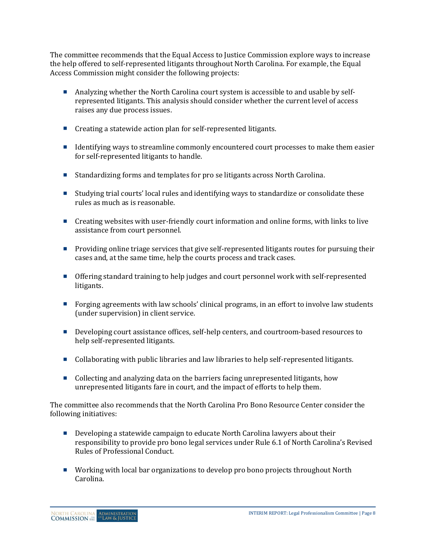The committee recommends that the Equal Access to Justice Commission explore ways to increase the help offered to self-represented litigants throughout North Carolina. For example, the Equal Access Commission might consider the following projects:

- Analyzing whether the North Carolina court system is accessible to and usable by selfrepresented litigants. This analysis should consider whether the current level of access raises any due process issues.
- Creating a statewide action plan for self-represented litigants.
- **IDENTIFY** Identifying ways to streamline commonly encountered court processes to make them easier for self-represented litigants to handle.
- Standardizing forms and templates for pro se litigants across North Carolina.
- Studying trial courts' local rules and identifying ways to standardize or consolidate these rules as much as is reasonable.
- **Creating websites with user-friendly court information and online forms, with links to live** assistance from court personnel.
- **Providing online triage services that give self-represented litigants routes for pursuing their** cases and, at the same time, help the courts process and track cases.
- Offering standard training to help judges and court personnel work with self-represented litigants.
- Forging agreements with law schools' clinical programs, in an effort to involve law students (under supervision) in client service.
- Developing court assistance offices, self-help centers, and courtroom-based resources to help self-represented litigants.
- Collaborating with public libraries and law libraries to help self-represented litigants.
- Collecting and analyzing data on the barriers facing unrepresented litigants, how unrepresented litigants fare in court, and the impact of efforts to help them.

The committee also recommends that the North Carolina Pro Bono Resource Center consider the following initiatives:

- Developing a statewide campaign to educate North Carolina lawyers about their responsibility to provide pro bono legal services under Rule 6.1 of North Carolina's Revised Rules of Professional Conduct.
- Working with local bar organizations to develop pro bono projects throughout North Carolina.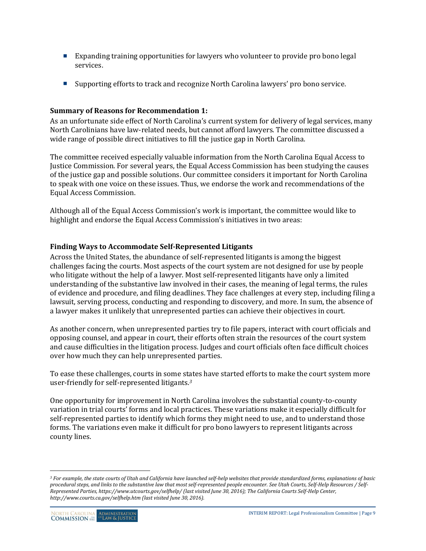- Expanding training opportunities for lawyers who volunteer to provide pro bono legal services.
- Supporting efforts to track and recognize North Carolina lawyers' pro bono service.

## **Summary of Reasons for Recommendation 1:**

As an unfortunate side effect of North Carolina's current system for delivery of legal services, many North Carolinians have law-related needs, but cannot afford lawyers. The committee discussed a wide range of possible direct initiatives to fill the justice gap in North Carolina.

The committee received especially valuable information from the North Carolina Equal Access to Justice Commission. For several years, the Equal Access Commission has been studying the causes of the justice gap and possible solutions. Our committee considers it important for North Carolina to speak with one voice on these issues. Thus, we endorse the work and recommendations of the Equal Access Commission.

Although all of the Equal Access Commission's work is important, the committee would like to highlight and endorse the Equal Access Commission's initiatives in two areas:

# **Finding Ways to Accommodate Self-Represented Litigants**

Across the United States, the abundance of self-represented litigants is among the biggest challenges facing the courts. Most aspects of the court system are not designed for use by people who litigate without the help of a lawyer. Most self-represented litigants have only a limited understanding of the substantive law involved in their cases, the meaning of legal terms, the rules of evidence and procedure, and filing deadlines. They face challenges at every step, including filing a lawsuit, serving process, conducting and responding to discovery, and more. In sum, the absence of a lawyer makes it unlikely that unrepresented parties can achieve their objectives in court.

As another concern, when unrepresented parties try to file papers, interact with court officials and opposing counsel, and appear in court, their efforts often strain the resources of the court system and cause difficulties in the litigation process. Judges and court officials often face difficult choices over how much they can help unrepresented parties.

To ease these challenges, courts in some states have started efforts to make the court system more user-friendly for self-represented litigants.*<sup>3</sup>*

One opportunity for improvement in North Carolina involves the substantial county-to-county variation in trial courts' forms and local practices. These variations make it especially difficult for self-represented parties to identify which forms they might need to use, and to understand those forms. The variations even make it difficult for pro bono lawyers to represent litigants across county lines.

 $\overline{a}$ 

*<sup>3</sup> For example, the state courts of Utah and California have launched self-help websites that provide standardized forms, explanations of basic procedural steps, and links to the substantive law that most self-represented people encounter. See Utah Courts, Self-Help Resources / Self-Represented Parties, https://www.utcourts.gov/selfhelp/ (last visited June 30, 2016); The California Courts Self-Help Center, http://www.courts.ca.gov/selfhelp.htm (last visited June 30, 2016).*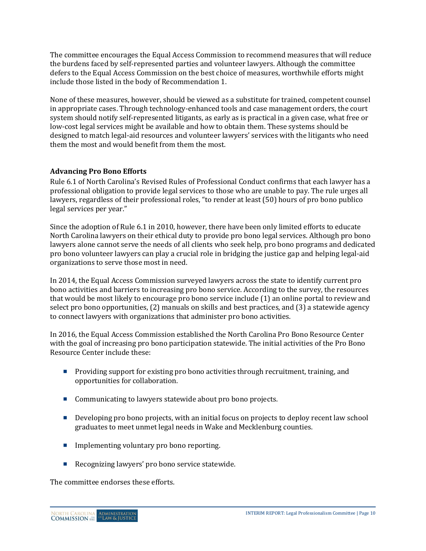The committee encourages the Equal Access Commission to recommend measures that will reduce the burdens faced by self-represented parties and volunteer lawyers. Although the committee defers to the Equal Access Commission on the best choice of measures, worthwhile efforts might include those listed in the body of Recommendation 1.

None of these measures, however, should be viewed as a substitute for trained, competent counsel in appropriate cases. Through technology-enhanced tools and case management orders, the court system should notify self-represented litigants, as early as is practical in a given case, what free or low-cost legal services might be available and how to obtain them. These systems should be designed to match legal-aid resources and volunteer lawyers' services with the litigants who need them the most and would benefit from them the most.

# **Advancing Pro Bono Efforts**

Rule 6.1 of North Carolina's Revised Rules of Professional Conduct confirms that each lawyer has a professional obligation to provide legal services to those who are unable to pay. The rule urges all lawyers, regardless of their professional roles, "to render at least (50) hours of pro bono publico legal services per year."

Since the adoption of Rule 6.1 in 2010, however, there have been only limited efforts to educate North Carolina lawyers on their ethical duty to provide pro bono legal services. Although pro bono lawyers alone cannot serve the needs of all clients who seek help, pro bono programs and dedicated pro bono volunteer lawyers can play a crucial role in bridging the justice gap and helping legal-aid organizations to serve those most in need.

In 2014, the Equal Access Commission surveyed lawyers across the state to identify current pro bono activities and barriers to increasing pro bono service. According to the survey, the resources that would be most likely to encourage pro bono service include (1) an online portal to review and select pro bono opportunities, (2) manuals on skills and best practices, and (3) a statewide agency to connect lawyers with organizations that administer pro bono activities.

In 2016, the Equal Access Commission established the North Carolina Pro Bono Resource Center with the goal of increasing pro bono participation statewide. The initial activities of the Pro Bono Resource Center include these:

- **Providing support for existing pro bono activities through recruitment, training, and** opportunities for collaboration.
- Communicating to lawyers statewide about pro bono projects.
- Developing pro bono projects, with an initial focus on projects to deploy recent law school graduates to meet unmet legal needs in Wake and Mecklenburg counties.
- **Implementing voluntary pro bono reporting.**
- Recognizing lawyers' pro bono service statewide.

The committee endorses these efforts.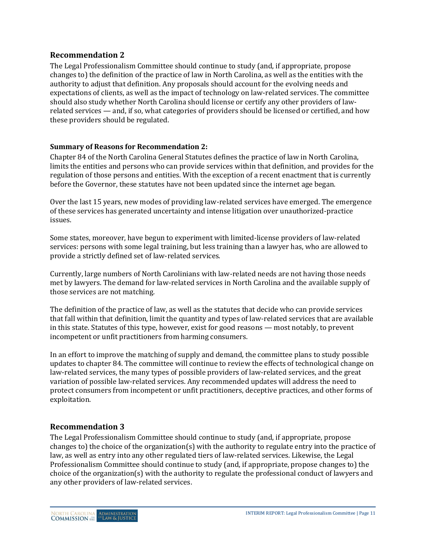# **Recommendation 2**

The Legal Professionalism Committee should continue to study (and, if appropriate, propose changes to) the definition of the practice of law in North Carolina, as well as the entities with the authority to adjust that definition. Any proposals should account for the evolving needs and expectations of clients, as well as the impact of technology on law-related services. The committee should also study whether North Carolina should license or certify any other providers of lawrelated services — and, if so, what categories of providers should be licensed or certified, and how these providers should be regulated.

## **Summary of Reasons for Recommendation 2:**

Chapter 84 of the North Carolina General Statutes defines the practice of law in North Carolina, limits the entities and persons who can provide services within that definition, and provides for the regulation of those persons and entities. With the exception of a recent enactment that is currently before the Governor, these statutes have not been updated since the internet age began.

Over the last 15 years, new modes of providing law-related services have emerged. The emergence of these services has generated uncertainty and intense litigation over unauthorized-practice issues.

Some states, moreover, have begun to experiment with limited-license providers of law-related services: persons with some legal training, but less training than a lawyer has, who are allowed to provide a strictly defined set of law-related services.

Currently, large numbers of North Carolinians with law-related needs are not having those needs met by lawyers. The demand for law-related services in North Carolina and the available supply of those services are not matching.

The definition of the practice of law, as well as the statutes that decide who can provide services that fall within that definition, limit the quantity and types of law-related services that are available in this state. Statutes of this type, however, exist for good reasons — most notably, to prevent incompetent or unfit practitioners from harming consumers.

In an effort to improve the matching of supply and demand, the committee plans to study possible updates to chapter 84. The committee will continue to review the effects of technological change on law-related services, the many types of possible providers of law-related services, and the great variation of possible law-related services. Any recommended updates will address the need to protect consumers from incompetent or unfit practitioners, deceptive practices, and other forms of exploitation.

# **Recommendation 3**

The Legal Professionalism Committee should continue to study (and, if appropriate, propose changes to) the choice of the organization(s) with the authority to regulate entry into the practice of law, as well as entry into any other regulated tiers of law-related services. Likewise, the Legal Professionalism Committee should continue to study (and, if appropriate, propose changes to) the choice of the organization(s) with the authority to regulate the professional conduct of lawyers and any other providers of law-related services.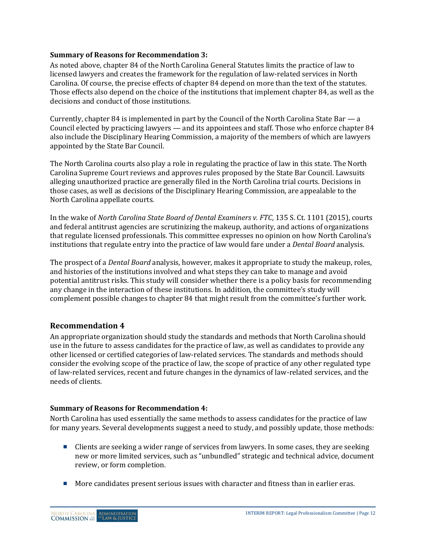#### **Summary of Reasons for Recommendation 3:**

As noted above, chapter 84 of the North Carolina General Statutes limits the practice of law to licensed lawyers and creates the framework for the regulation of law-related services in North Carolina. Of course, the precise effects of chapter 84 depend on more than the text of the statutes. Those effects also depend on the choice of the institutions that implement chapter 84, as well as the decisions and conduct of those institutions.

Currently, chapter 84 is implemented in part by the Council of the North Carolina State Bar — a Council elected by practicing lawyers — and its appointees and staff. Those who enforce chapter 84 also include the Disciplinary Hearing Commission, a majority of the members of which are lawyers appointed by the State Bar Council.

The North Carolina courts also play a role in regulating the practice of law in this state. The North Carolina Supreme Court reviews and approves rules proposed by the State Bar Council. Lawsuits alleging unauthorized practice are generally filed in the North Carolina trial courts. Decisions in those cases, as well as decisions of the Disciplinary Hearing Commission, are appealable to the North Carolina appellate courts.

In the wake of *North Carolina State Board of Dental Examiners v. FTC*, 135 S. Ct. 1101 (2015), courts and federal antitrust agencies are scrutinizing the makeup, authority, and actions of organizations that regulate licensed professionals. This committee expresses no opinion on how North Carolina's institutions that regulate entry into the practice of law would fare under a *Dental Board* analysis.

The prospect of a *Dental Board* analysis, however, makes it appropriate to study the makeup, roles, and histories of the institutions involved and what steps they can take to manage and avoid potential antitrust risks. This study will consider whether there is a policy basis for recommending any change in the interaction of these institutions. In addition, the committee's study will complement possible changes to chapter 84 that might result from the committee's further work.

## **Recommendation 4**

An appropriate organization should study the standards and methods that North Carolina should use in the future to assess candidates for the practice of law, as well as candidates to provide any other licensed or certified categories of law-related services. The standards and methods should consider the evolving scope of the practice of law, the scope of practice of any other regulated type of law-related services, recent and future changes in the dynamics of law-related services, and the needs of clients.

## **Summary of Reasons for Recommendation 4:**

North Carolina has used essentially the same methods to assess candidates for the practice of law for many years. Several developments suggest a need to study, and possibly update, those methods:

- Clients are seeking a wider range of services from lawyers. In some cases, they are seeking new or more limited services, such as "unbundled" strategic and technical advice, document review, or form completion.
- **More candidates present serious issues with character and fitness than in earlier eras.**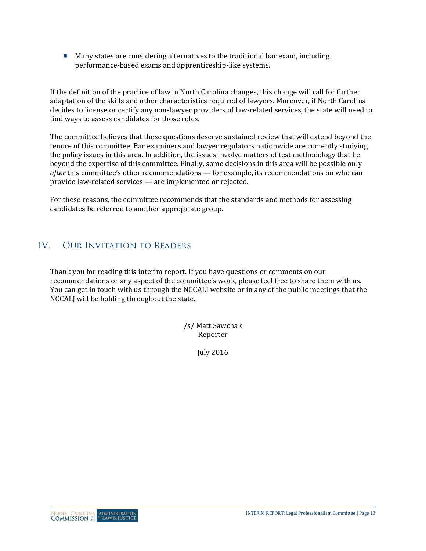Many states are considering alternatives to the traditional bar exam, including performance-based exams and apprenticeship-like systems.

If the definition of the practice of law in North Carolina changes, this change will call for further adaptation of the skills and other characteristics required of lawyers. Moreover, if North Carolina decides to license or certify any non-lawyer providers of law-related services, the state will need to find ways to assess candidates for those roles.

The committee believes that these questions deserve sustained review that will extend beyond the tenure of this committee. Bar examiners and lawyer regulators nationwide are currently studying the policy issues in this area. In addition, the issues involve matters of test methodology that lie beyond the expertise of this committee. Finally, some decisions in this area will be possible only *after* this committee's other recommendations — for example, its recommendations on who can provide law-related services — are implemented or rejected.

For these reasons, the committee recommends that the standards and methods for assessing candidates be referred to another appropriate group.

#### $IV.$ **OUR INVITATION TO READERS**

Thank you for reading this interim report. If you have questions or comments on our recommendations or any aspect of the committee's work, please feel free to share them with us. You can get in touch with us through the NCCALJ website or in any of the public meetings that the NCCALJ will be holding throughout the state.

> /s/ Matt Sawchak Reporter

> > July 2016